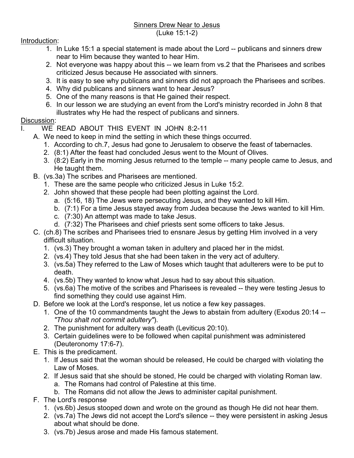## Sinners Drew Near to Jesus (Luke 15:1-2)

## Introduction:

- 1. In Luke 15:1 a special statement is made about the Lord -- publicans and sinners drew near to Him because they wanted to hear Him.
- 2. Not everyone was happy about this -- we learn from vs.2 that the Pharisees and scribes criticized Jesus because He associated with sinners.
- 3. It is easy to see why publicans and sinners did not approach the Pharisees and scribes.
- 4. Why did publicans and sinners want to hear Jesus?
- 5. One of the many reasons is that He gained their respect.
- 6. In our lesson we are studying an event from the Lord's ministry recorded in John 8 that illustrates why He had the respect of publicans and sinners.

## Discussion:

- I. WE READ ABOUT THIS EVENT IN JOHN 8:2-11
	- A. We need to keep in mind the setting in which these things occurred.
		- 1. According to ch.7, Jesus had gone to Jerusalem to observe the feast of tabernacles.
		- 2. (8:1) After the feast had concluded Jesus went to the Mount of Olives.
		- 3. (8:2) Early in the morning Jesus returned to the temple -- many people came to Jesus, and He taught them.
	- B. (vs.3a) The scribes and Pharisees are mentioned.
		- 1. These are the same people who criticized Jesus in Luke 15:2.
		- 2. John showed that these people had been plotting against the Lord.
			- a. (5:16, 18) The Jews were persecuting Jesus, and they wanted to kill Him.
			- b. (7:1) For a time Jesus stayed away from Judea because the Jews wanted to kill Him.
			- c. (7:30) An attempt was made to take Jesus.
			- d. (7:32) The Pharisees and chief priests sent some officers to take Jesus.
	- C. (ch.8) The scribes and Pharisees tried to ensnare Jesus by getting Him involved in a very difficult situation.
		- 1. (vs.3) They brought a woman taken in adultery and placed her in the midst.
		- 2. (vs.4) They told Jesus that she had been taken in the very act of adultery.
		- 3. (vs.5a) They referred to the Law of Moses which taught that adulterers were to be put to death.
		- 4. (vs.5b) They wanted to know what Jesus had to say about this situation.
		- 5. (vs.6a) The motive of the scribes and Pharisees is revealed -- they were testing Jesus to find something they could use against Him.
	- D. Before we look at the Lord's response, let us notice a few key passages.
		- 1. One of the 10 commandments taught the Jews to abstain from adultery (Exodus 20:14 -- *"Thou shalt not commit adultery"*).
		- 2. The punishment for adultery was death (Leviticus 20:10).
		- 3. Certain guidelines were to be followed when capital punishment was administered (Deuteronomy 17:6-7).
	- E. This is the predicament.
		- 1. If Jesus said that the woman should be released, He could be charged with violating the Law of Moses.
		- 2. If Jesus said that she should be stoned, He could be charged with violating Roman law.
			- a. The Romans had control of Palestine at this time.
			- b. The Romans did not allow the Jews to administer capital punishment.
	- F. The Lord's response
		- 1. (vs.6b) Jesus stooped down and wrote on the ground as though He did not hear them.
		- 2. (vs.7a) The Jews did not accept the Lord's silence -- they were persistent in asking Jesus about what should be done.
		- 3. (vs.7b) Jesus arose and made His famous statement.